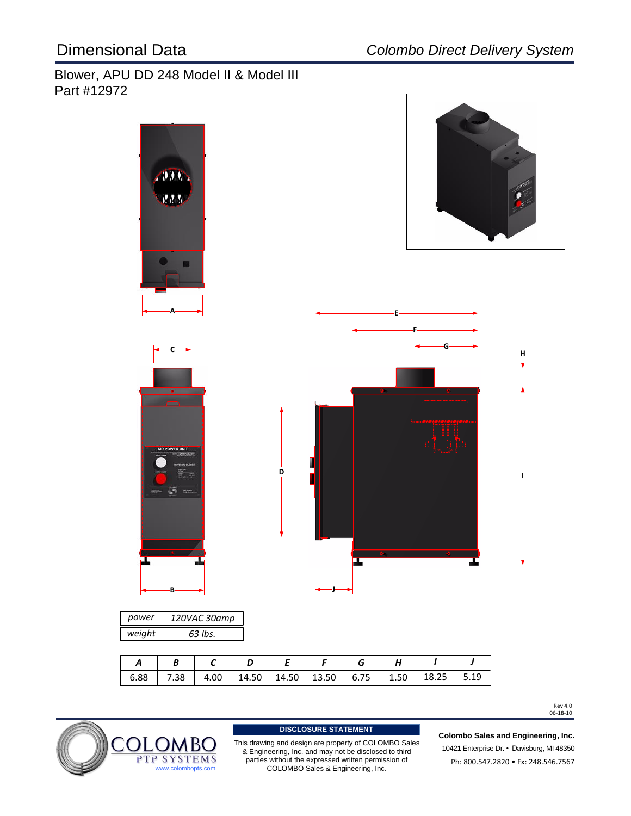# Blower, APU DD 248 Model II & Model III Part #12972



Rev 4.0<br>06-18-10



This drawing and design are property of COLOMBO Sales & Engineering, Inc. and may not be disclosed to third parties without the expressed written permission of **DISCLOSURE STATEMENT**<br>Ing and design are property of COLON<br>eering, Inc. and may not be disclosed<br>without the expressed written permis<br>COLOMBO Sales & Engineering, Inc.

10421 Enterprise Dr. • Davisburg, MI 48350 Ph: 800.547.2820 · Fx: 248.546.7567 **Colombo Sales and Engineering, Inc.**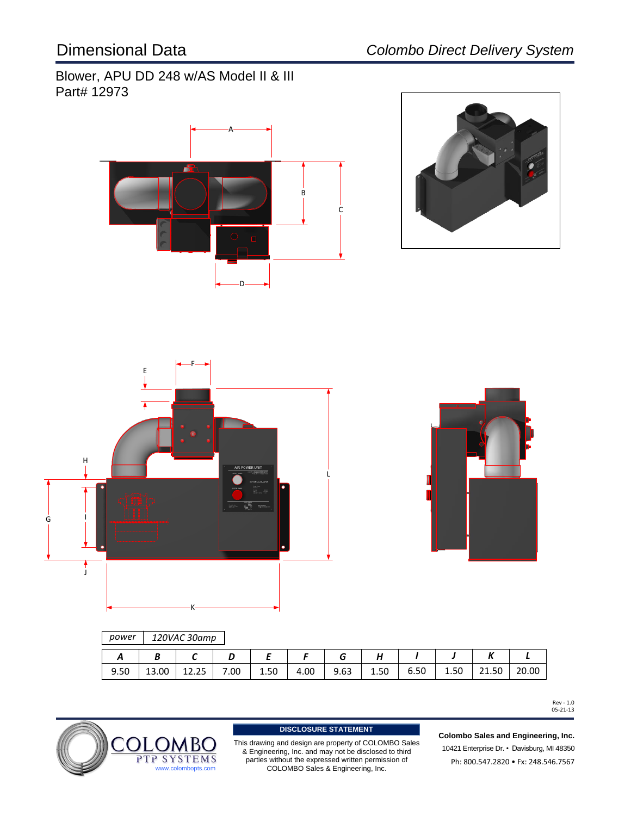Blower, APU DD 248 w/AS Model II & III Part# 12973







## *power 120VAC 30amp*

|      |       |       |      | -    |      |      |      |      |      |       |       |
|------|-------|-------|------|------|------|------|------|------|------|-------|-------|
| 9.50 | 13.00 | 12.25 | 7.00 | 1.50 | 4.00 | 9.63 | 1.50 | 6.50 | 1.50 | 21.50 | 20.00 |

Rev - 1.0 05-21-13



This drawing and design are property of COLOMBO Sales & Engineering, Inc. and may not be disclosed to third parties without the expressed written permission of **DISCLOSURE STATEMENT**<br>Ing and design are property of COLON<br>eering, Inc. and may not be disclosed<br>without the expressed written permis<br>COLOMBO Sales & Engineering, Inc.

10421 Enterprise Dr. • Davisburg, MI 48350 Ph: 800.547.2820 • Fx: 248.546.7567 **Colombo Sales and Engineering, Inc.**